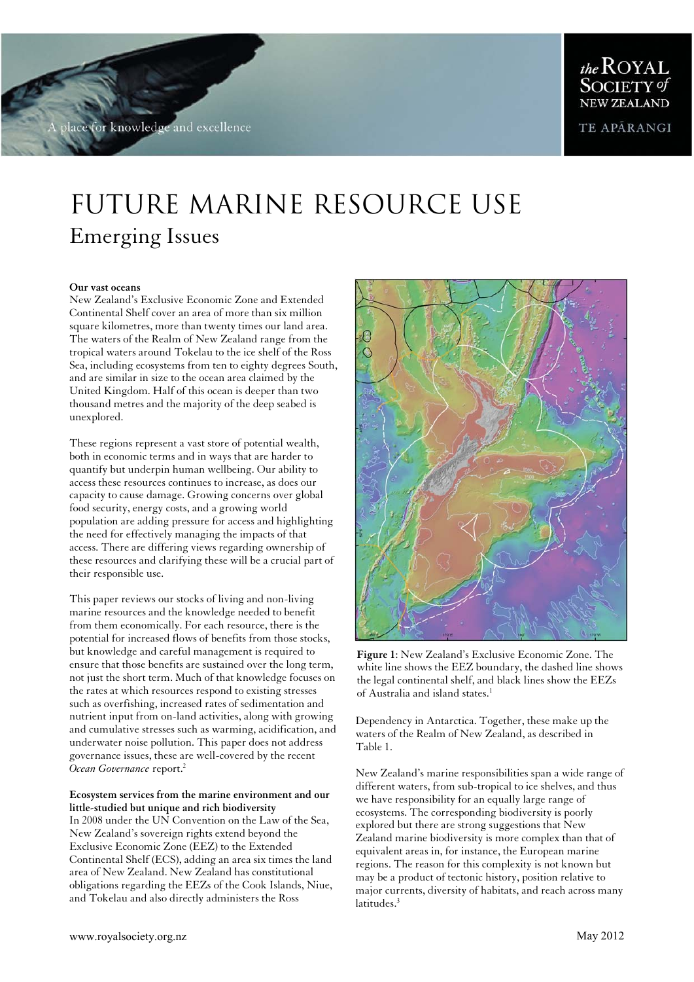for knowledge and excellence

MARINE RESOURCES

TE APÁRANGI

# Future Marine resource Use Emerging Issues

### **Our vast oceans**

New Zealand's Exclusive Economic Zone and Extended Continental Shelf cover an area of more than six million square kilometres, more than twenty times our land area. The waters of the Realm of New Zealand range from the tropical waters around Tokelau to the ice shelf of the Ross Sea, including ecosystems from ten to eighty degrees South, and are similar in size to the ocean area claimed by the United Kingdom. Half of this ocean is deeper than two thousand metres and the majority of the deep seabed is unexplored.

These regions represent a vast store of potential wealth, both in economic terms and in ways that are harder to quantify but underpin human wellbeing. Our ability to access these resources continues to increase, as does our capacity to cause damage. Growing concerns over global food security, energy costs, and a growing world population are adding pressure for access and highlighting the need for effectively managing the impacts of that access. There are differing views regarding ownership of these resources and clarifying these will be a crucial part of their responsible use.

This paper reviews our stocks of living and non-living marine resources and the knowledge needed to benefit from them economically. For each resource, there is the potential for increased flows of benefits from those stocks, but knowledge and careful management is required to ensure that those benefits are sustained over the long term, not just the short term. Much of that knowledge focuses on the rates at which resources respond to existing stresses such as overfishing, increased rates of sedimentation and nutrient input from on-land activities, along with growing and cumulative stresses such as warming, acidification, and underwater noise pollution. This paper does not address governance issues, these are well-covered by the recent *Ocean Governance* report.<sup>2</sup>

### **Ecosystem services from the marine environment and our little-studied but unique and rich biodiversity**

In 2008 under the UN Convention on the Law of the Sea, New Zealand's sovereign rights extend beyond the Exclusive Economic Zone (EEZ) to the Extended Continental Shelf (ECS), adding an area six times the land area of New Zealand. New Zealand has constitutional obligations regarding the EEZs of the Cook Islands, Niue, and Tokelau and also directly administers the Ross



**Figure 1**: New Zealand's Exclusive Economic Zone. The white line shows the EEZ boundary, the dashed line shows the legal continental shelf, and black lines show the EEZs of Australia and island states.<sup>1</sup>

Dependency in Antarctica. Together, these make up the waters of the Realm of New Zealand, as described in Table 1.

New Zealand's marine responsibilities span a wide range of different waters, from sub-tropical to ice shelves, and thus we have responsibility for an equally large range of ecosystems. The corresponding biodiversity is poorly explored but there are strong suggestions that New Zealand marine biodiversity is more complex than that of equivalent areas in, for instance, the European marine regions. The reason for this complexity is not known but may be a product of tectonic history, position relative to major currents, diversity of habitats, and reach across many latitudes.<sup>3</sup>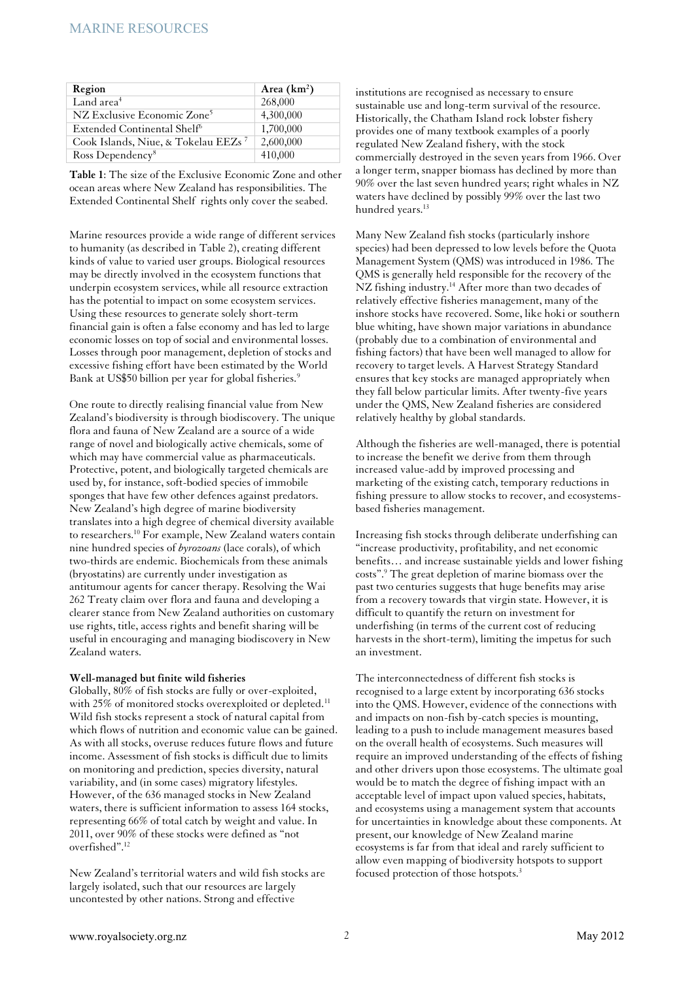| Region                                          | Area $(km^2)$ |
|-------------------------------------------------|---------------|
| Land area <sup>4</sup>                          | 268,000       |
| NZ Exclusive Economic Zone <sup>5</sup>         | 4,300,000     |
| Extended Continental Shelf <sup>6</sup>         | 1,700,000     |
| Cook Islands, Niue, & Tokelau EEZs <sup>7</sup> | 2,600,000     |
| Ross Dependency <sup>8</sup>                    | 410,000       |

**Table 1**: The size of the Exclusive Economic Zone and other ocean areas where New Zealand has responsibilities. The Extended Continental Shelf rights only cover the seabed.

Marine resources provide a wide range of different services to humanity (as described in Table 2), creating different kinds of value to varied user groups. Biological resources may be directly involved in the ecosystem functions that underpin ecosystem services, while all resource extraction has the potential to impact on some ecosystem services. Using these resources to generate solely short-term financial gain is often a false economy and has led to large economic losses on top of social and environmental losses. Losses through poor management, depletion of stocks and excessive fishing effort have been estimated by the World Bank at US\$50 billion per year for global fisheries.<sup>9</sup>

One route to directly realising financial value from New Zealand's biodiversity is through biodiscovery. The unique flora and fauna of New Zealand are a source of a wide range of novel and biologically active chemicals, some of which may have commercial value as pharmaceuticals. Protective, potent, and biologically targeted chemicals are used by, for instance, soft-bodied species of immobile sponges that have few other defences against predators. New Zealand's high degree of marine biodiversity translates into a high degree of chemical diversity available to researchers.<sup>10</sup> For example, New Zealand waters contain nine hundred species of *byrozoans* (lace corals), of which two-thirds are endemic. Biochemicals from these animals (bryostatins) are currently under investigation as antitumour agents for cancer therapy. Resolving the Wai 262 Treaty claim over flora and fauna and developing a clearer stance from New Zealand authorities on customary use rights, title, access rights and benefit sharing will be useful in encouraging and managing biodiscovery in New Zealand waters.

#### **Well-managed but finite wild fisheries**

Globally, 80% of fish stocks are fully or over-exploited, with 25% of monitored stocks overexploited or depleted.<sup>11</sup> Wild fish stocks represent a stock of natural capital from which flows of nutrition and economic value can be gained. As with all stocks, overuse reduces future flows and future income. Assessment of fish stocks is difficult due to limits on monitoring and prediction, species diversity, natural variability, and (in some cases) migratory lifestyles. However, of the 636 managed stocks in New Zealand waters, there is sufficient information to assess 164 stocks, representing 66% of total catch by weight and value. In 2011, over 90% of these stocks were defined as "not overfished".<sup>12</sup>

New Zealand's territorial waters and wild fish stocks are largely isolated, such that our resources are largely uncontested by other nations. Strong and effective

institutions are recognised as necessary to ensure sustainable use and long-term survival of the resource. Historically, the Chatham Island rock lobster fishery provides one of many textbook examples of a poorly regulated New Zealand fishery, with the stock commercially destroyed in the seven years from 1966. Over a longer term, snapper biomass has declined by more than 90% over the last seven hundred years; right whales in NZ waters have declined by possibly 99% over the last two hundred years.<sup>13</sup>

Many New Zealand fish stocks (particularly inshore species) had been depressed to low levels before the Quota Management System (QMS) was introduced in 1986. The QMS is generally held responsible for the recovery of the NZ fishing industry.<sup>14</sup> After more than two decades of relatively effective fisheries management, many of the inshore stocks have recovered. Some, like hoki or southern blue whiting, have shown major variations in abundance (probably due to a combination of environmental and fishing factors) that have been well managed to allow for recovery to target levels. A Harvest Strategy Standard ensures that key stocks are managed appropriately when they fall below particular limits. After twenty-five years under the QMS, New Zealand fisheries are considered relatively healthy by global standards.

Although the fisheries are well-managed, there is potential to increase the benefit we derive from them through increased value-add by improved processing and marketing of the existing catch, temporary reductions in fishing pressure to allow stocks to recover, and ecosystemsbased fisheries management.

Increasing fish stocks through deliberate underfishing can "increase productivity, profitability, and net economic benefits… and increase sustainable yields and lower fishing costs".<sup>9</sup> The great depletion of marine biomass over the past two centuries suggests that huge benefits may arise from a recovery towards that virgin state. However, it is difficult to quantify the return on investment for underfishing (in terms of the current cost of reducing harvests in the short-term), limiting the impetus for such an investment.

The interconnectedness of different fish stocks is recognised to a large extent by incorporating 636 stocks into the QMS. However, evidence of the connections with and impacts on non-fish by-catch species is mounting, leading to a push to include management measures based on the overall health of ecosystems. Such measures will require an improved understanding of the effects of fishing and other drivers upon those ecosystems. The ultimate goal would be to match the degree of fishing impact with an acceptable level of impact upon valued species, habitats, and ecosystems using a management system that accounts for uncertainties in knowledge about these components. At present, our knowledge of New Zealand marine ecosystems is far from that ideal and rarely sufficient to allow even mapping of biodiversity hotspots to support focused protection of those hotspots.<sup>3</sup>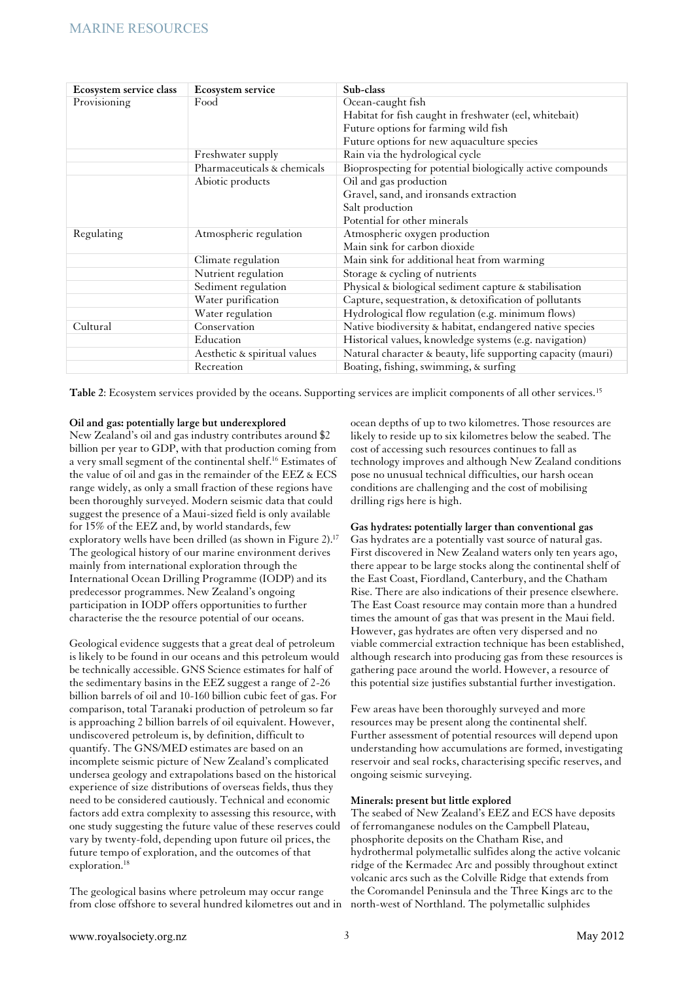| Ecosystem service class | <b>Ecosystem service</b>     | Sub-class                                                    |
|-------------------------|------------------------------|--------------------------------------------------------------|
| Provisioning            | Food                         | Ocean-caught fish                                            |
|                         |                              | Habitat for fish caught in freshwater (eel, whitebait)       |
|                         |                              | Future options for farming wild fish                         |
|                         |                              | Future options for new aquaculture species                   |
|                         | Freshwater supply            | Rain via the hydrological cycle                              |
|                         | Pharmaceuticals & chemicals  | Bioprospecting for potential biologically active compounds   |
|                         | Abiotic products             | Oil and gas production                                       |
|                         |                              | Gravel, sand, and ironsands extraction                       |
|                         |                              | Salt production                                              |
|                         |                              | Potential for other minerals                                 |
| Regulating              | Atmospheric regulation       | Atmospheric oxygen production                                |
|                         |                              | Main sink for carbon dioxide                                 |
|                         | Climate regulation           | Main sink for additional heat from warming                   |
|                         | Nutrient regulation          | Storage & cycling of nutrients                               |
|                         | Sediment regulation          | Physical & biological sediment capture & stabilisation       |
|                         | Water purification           | Capture, sequestration, & detoxification of pollutants       |
|                         | Water regulation             | Hydrological flow regulation (e.g. minimum flows)            |
| Cultural                | Conservation                 | Native biodiversity & habitat, endangered native species     |
|                         | Education                    | Historical values, knowledge systems (e.g. navigation)       |
|                         | Aesthetic & spiritual values | Natural character & beauty, life supporting capacity (mauri) |
|                         | Recreation                   | Boating, fishing, swimming, & surfing                        |

**Table 2**: Ecosystem services provided by the oceans. Supporting services are implicit components of all other services.<sup>15</sup>

## **Oil and gas: potentially large but underexplored**

New Zealand's oil and gas industry contributes around \$2 billion per year to GDP, with that production coming from a very small segment of the continental shelf.<sup>16</sup> Estimates of the value of oil and gas in the remainder of the EEZ & ECS range widely, as only a small fraction of these regions have been thoroughly surveyed. Modern seismic data that could suggest the presence of a Maui-sized field is only available for 15% of the EEZ and, by world standards, few exploratory wells have been drilled (as shown in Figure 2).<sup>17</sup> The geological history of our marine environment derives mainly from international exploration through the International Ocean Drilling Programme (IODP) and its predecessor programmes. New Zealand's ongoing participation in IODP offers opportunities to further characterise the the resource potential of our oceans.

Geological evidence suggests that a great deal of petroleum is likely to be found in our oceans and this petroleum would be technically accessible. GNS Science estimates for half of the sedimentary basins in the EEZ suggest a range of 2-26 billion barrels of oil and 10-160 billion cubic feet of gas. For comparison, total Taranaki production of petroleum so far is approaching 2 billion barrels of oil equivalent. However, undiscovered petroleum is, by definition, difficult to quantify. The GNS/MED estimates are based on an incomplete seismic picture of New Zealand's complicated undersea geology and extrapolations based on the historical experience of size distributions of overseas fields, thus they need to be considered cautiously. Technical and economic factors add extra complexity to assessing this resource, with one study suggesting the future value of these reserves could vary by twenty-fold, depending upon future oil prices, the future tempo of exploration, and the outcomes of that exploration.<sup>18</sup>

The geological basins where petroleum may occur range from close offshore to several hundred kilometres out and in

ocean depths of up to two kilometres. Those resources are likely to reside up to six kilometres below the seabed. The cost of accessing such resources continues to fall as technology improves and although New Zealand conditions pose no unusual technical difficulties, our harsh ocean conditions are challenging and the cost of mobilising drilling rigs here is high.

## **Gas hydrates: potentially larger than conventional gas**

Gas hydrates are a potentially vast source of natural gas. First discovered in New Zealand waters only ten years ago, there appear to be large stocks along the continental shelf of the East Coast, Fiordland, Canterbury, and the Chatham Rise. There are also indications of their presence elsewhere. The East Coast resource may contain more than a hundred times the amount of gas that was present in the Maui field. However, gas hydrates are often very dispersed and no viable commercial extraction technique has been established, although research into producing gas from these resources is gathering pace around the world. However, a resource of this potential size justifies substantial further investigation.

Few areas have been thoroughly surveyed and more resources may be present along the continental shelf. Further assessment of potential resources will depend upon understanding how accumulations are formed, investigating reservoir and seal rocks, characterising specific reserves, and ongoing seismic surveying.

## **Minerals: present but little explored**

The seabed of New Zealand's EEZ and ECS have deposits of ferromanganese nodules on the Campbell Plateau, phosphorite deposits on the Chatham Rise, and hydrothermal polymetallic sulfides along the active volcanic ridge of the Kermadec Arc and possibly throughout extinct volcanic arcs such as the Colville Ridge that extends from the Coromandel Peninsula and the Three Kings arc to the north-west of Northland. The polymetallic sulphides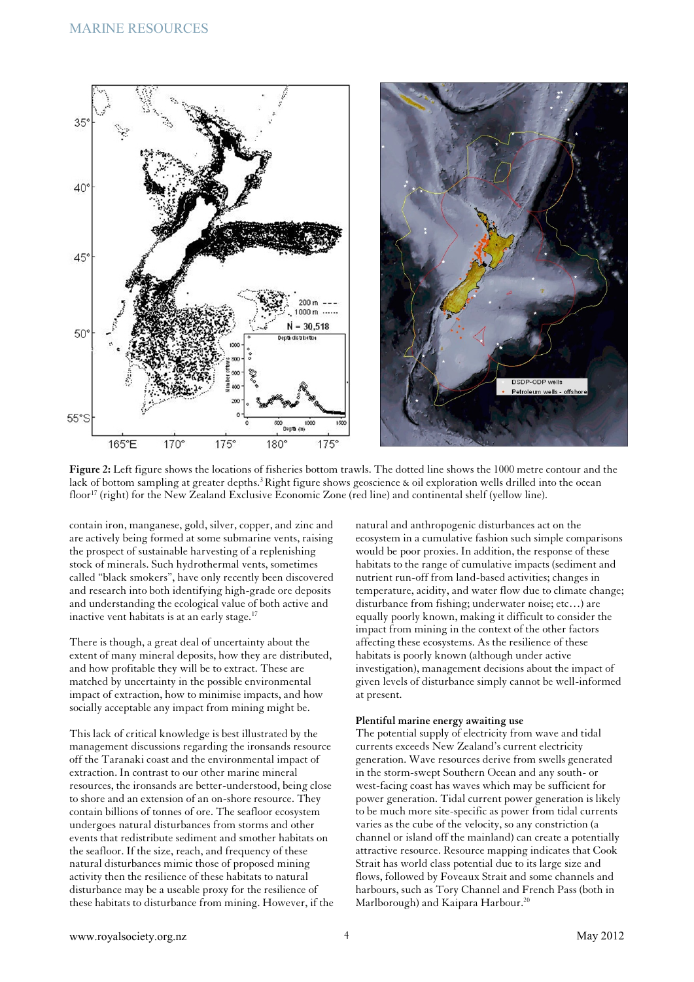



**Figure 2:** Left figure shows the locations of fisheries bottom trawls. The dotted line shows the 1000 metre contour and the lack of bottom sampling at greater depths.<sup>3</sup> Right figure shows geoscience & oil exploration wells drilled into the ocean floor<sup>17</sup> (right) for the New Zealand Exclusive Economic Zone (red line) and continental shelf (yellow line).

contain iron, manganese, gold, silver, copper, and zinc and are actively being formed at some submarine vents, raising the prospect of sustainable harvesting of a replenishing stock of minerals. Such hydrothermal vents, sometimes called "black smokers", have only recently been discovered and research into both identifying high-grade ore deposits and understanding the ecological value of both active and inactive vent habitats is at an early stage.<sup>17</sup>

There is though, a great deal of uncertainty about the extent of many mineral deposits, how they are distributed, and how profitable they will be to extract. These are matched by uncertainty in the possible environmental impact of extraction, how to minimise impacts, and how socially acceptable any impact from mining might be.

This lack of critical knowledge is best illustrated by the management discussions regarding the ironsands resource off the Taranaki coast and the environmental impact of extraction. In contrast to our other marine mineral resources, the ironsands are better-understood, being close to shore and an extension of an on-shore resource. They contain billions of tonnes of ore. The seafloor ecosystem undergoes natural disturbances from storms and other events that redistribute sediment and smother habitats on the seafloor. If the size, reach, and frequency of these natural disturbances mimic those of proposed mining activity then the resilience of these habitats to natural disturbance may be a useable proxy for the resilience of these habitats to disturbance from mining. However, if the

natural and anthropogenic disturbances act on the ecosystem in a cumulative fashion such simple comparisons would be poor proxies. In addition, the response of these habitats to the range of cumulative impacts (sediment and nutrient run-off from land-based activities; changes in temperature, acidity, and water flow due to climate change; disturbance from fishing; underwater noise; etc…) are equally poorly known, making it difficult to consider the impact from mining in the context of the other factors affecting these ecosystems. As the resilience of these habitats is poorly known (although under active investigation), management decisions about the impact of given levels of disturbance simply cannot be well-informed at present.

#### **Plentiful marine energy awaiting use**

The potential supply of electricity from wave and tidal currents exceeds New Zealand's current electricity generation. Wave resources derive from swells generated in the storm-swept Southern Ocean and any south- or west-facing coast has waves which may be sufficient for power generation. Tidal current power generation is likely to be much more site-specific as power from tidal currents varies as the cube of the velocity, so any constriction (a channel or island off the mainland) can create a potentially attractive resource. Resource mapping indicates that Cook Strait has world class potential due to its large size and flows, followed by Foveaux Strait and some channels and harbours, such as Tory Channel and French Pass (both in Marlborough) and Kaipara Harbour.<sup>20</sup>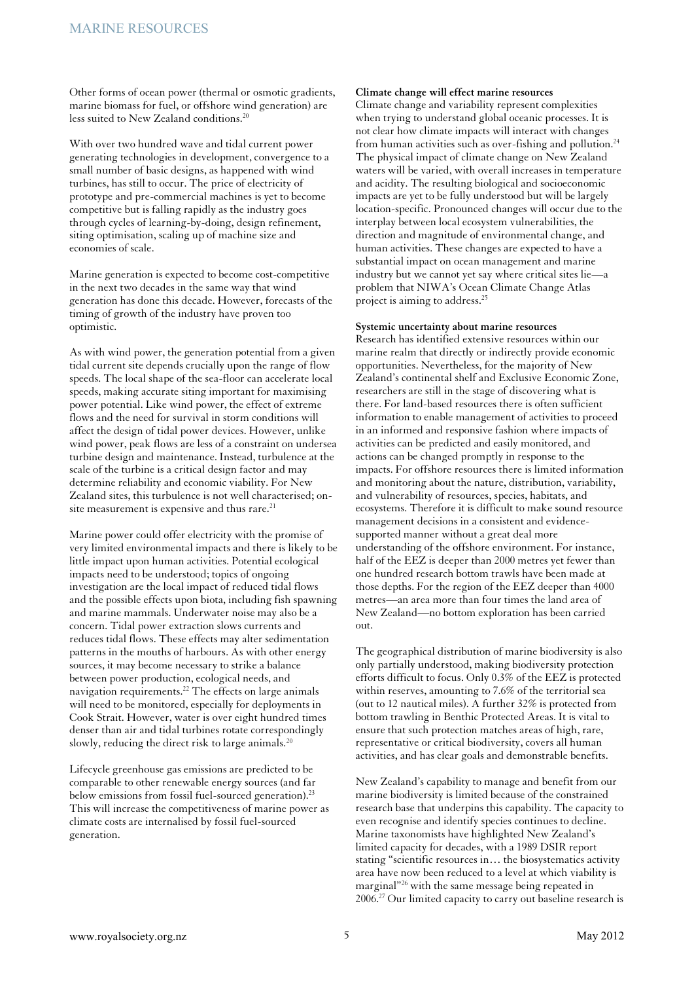Other forms of ocean power (thermal or osmotic gradients, marine biomass for fuel, or offshore wind generation) are less suited to New Zealand conditions.<sup>20</sup>

With over two hundred wave and tidal current power generating technologies in development, convergence to a small number of basic designs, as happened with wind turbines, has still to occur. The price of electricity of prototype and pre-commercial machines is yet to become competitive but is falling rapidly as the industry goes through cycles of learning-by-doing, design refinement, siting optimisation, scaling up of machine size and economies of scale.

Marine generation is expected to become cost-competitive in the next two decades in the same way that wind generation has done this decade. However, forecasts of the timing of growth of the industry have proven too optimistic.

As with wind power, the generation potential from a given tidal current site depends crucially upon the range of flow speeds. The local shape of the sea-floor can accelerate local speeds, making accurate siting important for maximising power potential. Like wind power, the effect of extreme flows and the need for survival in storm conditions will affect the design of tidal power devices. However, unlike wind power, peak flows are less of a constraint on undersea turbine design and maintenance. Instead, turbulence at the scale of the turbine is a critical design factor and may determine reliability and economic viability. For New Zealand sites, this turbulence is not well characterised; onsite measurement is expensive and thus rare.<sup>21</sup>

Marine power could offer electricity with the promise of very limited environmental impacts and there is likely to be little impact upon human activities. Potential ecological impacts need to be understood; topics of ongoing investigation are the local impact of reduced tidal flows and the possible effects upon biota, including fish spawning and marine mammals. Underwater noise may also be a concern. Tidal power extraction slows currents and reduces tidal flows. These effects may alter sedimentation patterns in the mouths of harbours. As with other energy sources, it may become necessary to strike a balance between power production, ecological needs, and navigation requirements.<sup>22</sup> The effects on large animals will need to be monitored, especially for deployments in Cook Strait. However, water is over eight hundred times denser than air and tidal turbines rotate correspondingly slowly, reducing the direct risk to large animals.<sup>20</sup>

Lifecycle greenhouse gas emissions are predicted to be comparable to other renewable energy sources (and far below emissions from fossil fuel-sourced generation).<sup>23</sup> This will increase the competitiveness of marine power as climate costs are internalised by fossil fuel-sourced generation.

#### **Climate change will effect marine resources**

Climate change and variability represent complexities when trying to understand global oceanic processes. It is not clear how climate impacts will interact with changes from human activities such as over-fishing and pollution.<sup>24</sup> The physical impact of climate change on New Zealand waters will be varied, with overall increases in temperature and acidity. The resulting biological and socioeconomic impacts are yet to be fully understood but will be largely location-specific. Pronounced changes will occur due to the interplay between local ecosystem vulnerabilities, the direction and magnitude of environmental change, and human activities. These changes are expected to have a substantial impact on ocean management and marine industry but we cannot yet say where critical sites lie—a problem that NIWA's Ocean Climate Change Atlas project is aiming to address.<sup>25</sup>

## **Systemic uncertainty about marine resources**

Research has identified extensive resources within our marine realm that directly or indirectly provide economic opportunities. Nevertheless, for the majority of New Zealand's continental shelf and Exclusive Economic Zone, researchers are still in the stage of discovering what is there. For land-based resources there is often sufficient information to enable management of activities to proceed in an informed and responsive fashion where impacts of activities can be predicted and easily monitored, and actions can be changed promptly in response to the impacts. For offshore resources there is limited information and monitoring about the nature, distribution, variability, and vulnerability of resources, species, habitats, and ecosystems. Therefore it is difficult to make sound resource management decisions in a consistent and evidencesupported manner without a great deal more understanding of the offshore environment. For instance, half of the EEZ is deeper than 2000 metres yet fewer than one hundred research bottom trawls have been made at those depths. For the region of the EEZ deeper than 4000 metres—an area more than four times the land area of New Zealand—no bottom exploration has been carried out.

The geographical distribution of marine biodiversity is also only partially understood, making biodiversity protection efforts difficult to focus. Only 0.3% of the EEZ is protected within reserves, amounting to 7.6% of the territorial sea (out to 12 nautical miles). A further 32% is protected from bottom trawling in Benthic Protected Areas. It is vital to ensure that such protection matches areas of high, rare, representative or critical biodiversity, covers all human activities, and has clear goals and demonstrable benefits.

New Zealand's capability to manage and benefit from our marine biodiversity is limited because of the constrained research base that underpins this capability. The capacity to even recognise and identify species continues to decline. Marine taxonomists have highlighted New Zealand's limited capacity for decades, with a 1989 DSIR report stating "scientific resources in… the biosystematics activity area have now been reduced to a level at which viability is marginal"<sup>26</sup> with the same message being repeated in 2006.27 Our limited capacity to carry out baseline research is